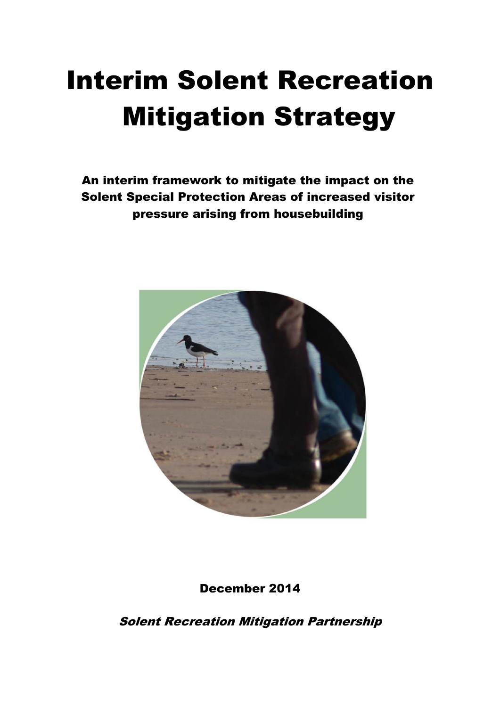# Interim Solent Recreation Mitigation Strategy

An interim framework to mitigate the impact on the Solent Special Protection Areas of increased visitor pressure arising from housebuilding



December 2014

Solent Recreation Mitigation Partnership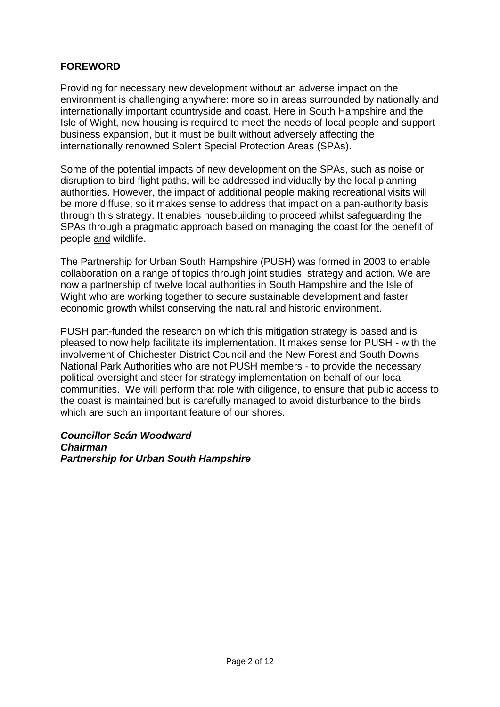#### **FOREWORD**

Providing for necessary new development without an adverse impact on the environment is challenging anywhere: more so in areas surrounded by nationally and internationally important countryside and coast. Here in South Hampshire and the Isle of Wight, new housing is required to meet the needs of local people and support business expansion, but it must be built without adversely affecting the internationally renowned Solent Special Protection Areas (SPAs).

Some of the potential impacts of new development on the SPAs, such as noise or disruption to bird flight paths, will be addressed individually by the local planning authorities. However, the impact of additional people making recreational visits will be more diffuse, so it makes sense to address that impact on a pan-authority basis through this strategy. It enables housebuilding to proceed whilst safeguarding the SPAs through a pragmatic approach based on managing the coast for the benefit of people and wildlife.

The Partnership for Urban South Hampshire (PUSH) was formed in 2003 to enable collaboration on a range of topics through joint studies, strategy and action. We are now a partnership of twelve local authorities in South Hampshire and the Isle of Wight who are working together to secure sustainable development and faster economic growth whilst conserving the natural and historic environment.

PUSH part-funded the research on which this mitigation strategy is based and is pleased to now help facilitate its implementation. It makes sense for PUSH - with the involvement of Chichester District Council and the New Forest and South Downs National Park Authorities who are not PUSH members - to provide the necessary political oversight and steer for strategy implementation on behalf of our local communities. We will perform that role with diligence, to ensure that public access to the coast is maintained but is carefully managed to avoid disturbance to the birds which are such an important feature of our shores.

*Councillor Seán Woodward Chairman Partnership for Urban South Hampshire*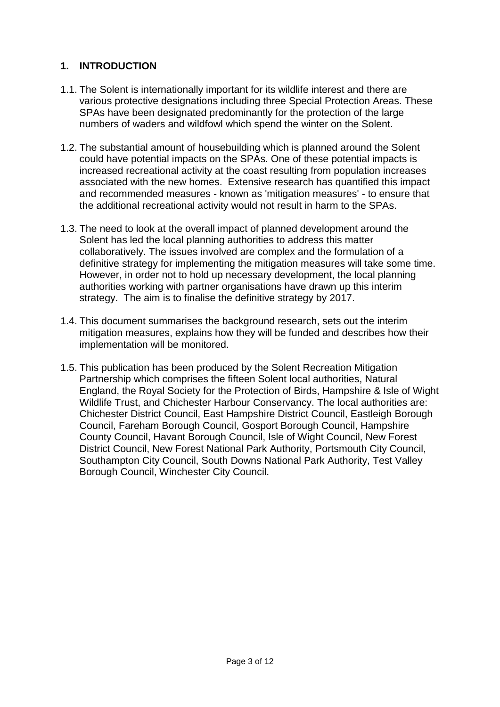## **1. INTRODUCTION**

- 1.1. The Solent is internationally important for its wildlife interest and there are various protective designations including three Special Protection Areas. These SPAs have been designated predominantly for the protection of the large numbers of waders and wildfowl which spend the winter on the Solent.
- 1.2. The substantial amount of housebuilding which is planned around the Solent could have potential impacts on the SPAs. One of these potential impacts is increased recreational activity at the coast resulting from population increases associated with the new homes. Extensive research has quantified this impact and recommended measures - known as 'mitigation measures' - to ensure that the additional recreational activity would not result in harm to the SPAs.
- 1.3. The need to look at the overall impact of planned development around the Solent has led the local planning authorities to address this matter collaboratively. The issues involved are complex and the formulation of a definitive strategy for implementing the mitigation measures will take some time. However, in order not to hold up necessary development, the local planning authorities working with partner organisations have drawn up this interim strategy. The aim is to finalise the definitive strategy by 2017.
- 1.4. This document summarises the background research, sets out the interim mitigation measures, explains how they will be funded and describes how their implementation will be monitored.
- 1.5. This publication has been produced by the Solent Recreation Mitigation Partnership which comprises the fifteen Solent local authorities, Natural England, the Royal Society for the Protection of Birds, Hampshire & Isle of Wight Wildlife Trust, and Chichester Harbour Conservancy. The local authorities are: Chichester District Council, East Hampshire District Council, Eastleigh Borough Council, Fareham Borough Council, Gosport Borough Council, Hampshire County Council, Havant Borough Council, Isle of Wight Council, New Forest District Council, New Forest National Park Authority, Portsmouth City Council, Southampton City Council, South Downs National Park Authority, Test Valley Borough Council, Winchester City Council.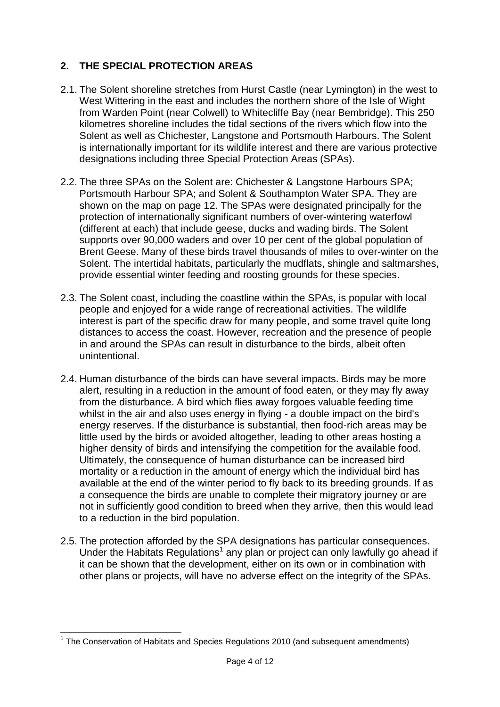## **2. THE SPECIAL PROTECTION AREAS**

- 2.1. The Solent shoreline stretches from Hurst Castle (near Lymington) in the west to West Wittering in the east and includes the northern shore of the Isle of Wight from Warden Point (near Colwell) to Whitecliffe Bay (near Bembridge). This 250 kilometres shoreline includes the tidal sections of the rivers which flow into the Solent as well as Chichester, Langstone and Portsmouth Harbours. The Solent is internationally important for its wildlife interest and there are various protective designations including three Special Protection Areas (SPAs).
- 2.2. The three SPAs on the Solent are: Chichester & Langstone Harbours SPA; Portsmouth Harbour SPA; and Solent & Southampton Water SPA. They are shown on the map on page 12. The SPAs were designated principally for the protection of internationally significant numbers of over-wintering waterfowl (different at each) that include geese, ducks and wading birds. The Solent supports over 90,000 waders and over 10 per cent of the global population of Brent Geese. Many of these birds travel thousands of miles to over-winter on the Solent. The intertidal habitats, particularly the mudflats, shingle and saltmarshes, provide essential winter feeding and roosting grounds for these species.
- 2.3. The Solent coast, including the coastline within the SPAs, is popular with local people and enjoyed for a wide range of recreational activities. The wildlife interest is part of the specific draw for many people, and some travel quite long distances to access the coast. However, recreation and the presence of people in and around the SPAs can result in disturbance to the birds, albeit often unintentional.
- 2.4. Human disturbance of the birds can have several impacts. Birds may be more alert, resulting in a reduction in the amount of food eaten, or they may fly away from the disturbance. A bird which flies away forgoes valuable feeding time whilst in the air and also uses energy in flying - a double impact on the bird's energy reserves. If the disturbance is substantial, then food-rich areas may be little used by the birds or avoided altogether, leading to other areas hosting a higher density of birds and intensifying the competition for the available food. Ultimately, the consequence of human disturbance can be increased bird mortality or a reduction in the amount of energy which the individual bird has available at the end of the winter period to fly back to its breeding grounds. If as a consequence the birds are unable to complete their migratory journey or are not in sufficiently good condition to breed when they arrive, then this would lead to a reduction in the bird population.
- 2.5. The protection afforded by the SPA designations has particular consequences. Under the Habitats Regulations<sup>1</sup> any plan or project can only lawfully go ahead if it can be shown that the development, either on its own or in combination with other plans or projects, will have no adverse effect on the integrity of the SPAs.

**<sup>.</sup>** <sup>1</sup> The Conservation of Habitats and Species Regulations 2010 (and subsequent amendments)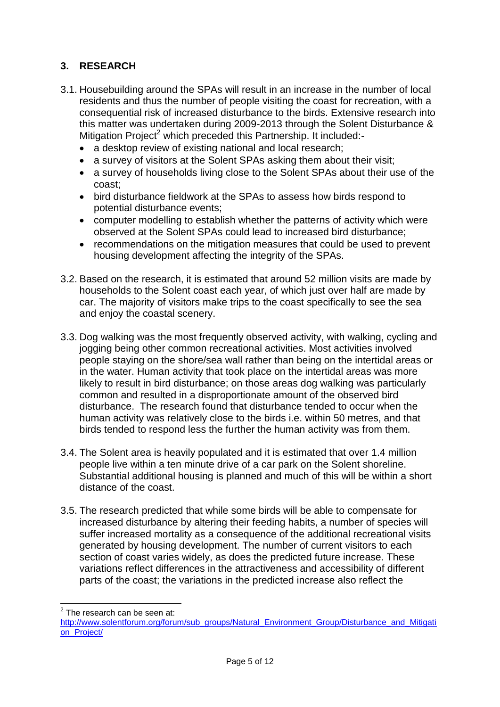## **3. RESEARCH**

- 3.1. Housebuilding around the SPAs will result in an increase in the number of local residents and thus the number of people visiting the coast for recreation, with a consequential risk of increased disturbance to the birds. Extensive research into this matter was undertaken during 2009-2013 through the Solent Disturbance & Mitigation Project<sup>2</sup> which preceded this Partnership. It included:-
	- a desktop review of existing national and local research;
	- a survey of visitors at the Solent SPAs asking them about their visit;
	- a survey of households living close to the Solent SPAs about their use of the coast;
	- bird disturbance fieldwork at the SPAs to assess how birds respond to potential disturbance events;
	- computer modelling to establish whether the patterns of activity which were observed at the Solent SPAs could lead to increased bird disturbance;
	- recommendations on the mitigation measures that could be used to prevent housing development affecting the integrity of the SPAs.
- 3.2. Based on the research, it is estimated that around 52 million visits are made by households to the Solent coast each year, of which just over half are made by car. The majority of visitors make trips to the coast specifically to see the sea and enjoy the coastal scenery.
- 3.3. Dog walking was the most frequently observed activity, with walking, cycling and jogging being other common recreational activities. Most activities involved people staying on the shore/sea wall rather than being on the intertidal areas or in the water. Human activity that took place on the intertidal areas was more likely to result in bird disturbance; on those areas dog walking was particularly common and resulted in a disproportionate amount of the observed bird disturbance. The research found that disturbance tended to occur when the human activity was relatively close to the birds i.e. within 50 metres, and that birds tended to respond less the further the human activity was from them.
- 3.4. The Solent area is heavily populated and it is estimated that over 1.4 million people live within a ten minute drive of a car park on the Solent shoreline. Substantial additional housing is planned and much of this will be within a short distance of the coast.
- 3.5. The research predicted that while some birds will be able to compensate for increased disturbance by altering their feeding habits, a number of species will suffer increased mortality as a consequence of the additional recreational visits generated by housing development. The number of current visitors to each section of coast varies widely, as does the predicted future increase. These variations reflect differences in the attractiveness and accessibility of different parts of the coast; the variations in the predicted increase also reflect the

<sup>&</sup>lt;u>Frace controlled</u><br>The research can be seen at:

[http://www.solentforum.org/forum/sub\\_groups/Natural\\_Environment\\_Group/Disturbance\\_and\\_Mitigati](http://www.solentforum.org/forum/sub_groups/Natural_Environment_Group/Disturbance_and_Mitigation_Project/) [on\\_Project/](http://www.solentforum.org/forum/sub_groups/Natural_Environment_Group/Disturbance_and_Mitigation_Project/)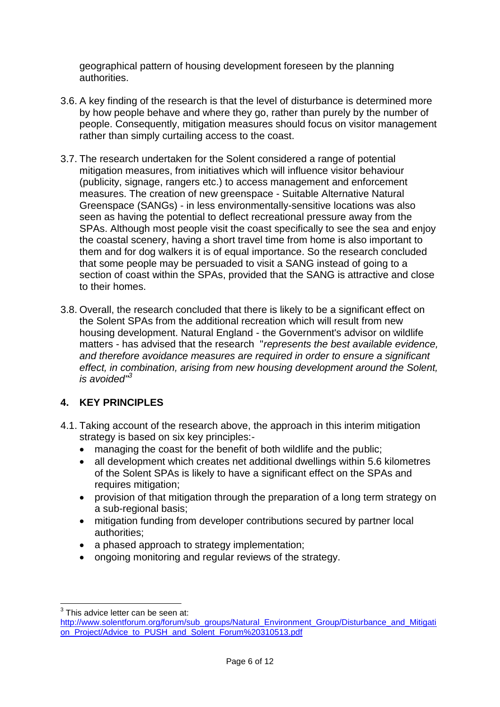geographical pattern of housing development foreseen by the planning authorities.

- 3.6. A key finding of the research is that the level of disturbance is determined more by how people behave and where they go, rather than purely by the number of people. Consequently, mitigation measures should focus on visitor management rather than simply curtailing access to the coast.
- 3.7. The research undertaken for the Solent considered a range of potential mitigation measures, from initiatives which will influence visitor behaviour (publicity, signage, rangers etc.) to access management and enforcement measures. The creation of new greenspace - Suitable Alternative Natural Greenspace (SANGs) - in less environmentally-sensitive locations was also seen as having the potential to deflect recreational pressure away from the SPAs. Although most people visit the coast specifically to see the sea and enjoy the coastal scenery, having a short travel time from home is also important to them and for dog walkers it is of equal importance. So the research concluded that some people may be persuaded to visit a SANG instead of going to a section of coast within the SPAs, provided that the SANG is attractive and close to their homes.
- 3.8. Overall, the research concluded that there is likely to be a significant effect on the Solent SPAs from the additional recreation which will result from new housing development. Natural England - the Government's advisor on wildlife matters - has advised that the research "*represents the best available evidence, and therefore avoidance measures are required in order to ensure a significant effect, in combination, arising from new housing development around the Solent, is avoided"<sup>3</sup>*

## **4. KEY PRINCIPLES**

- 4.1. Taking account of the research above, the approach in this interim mitigation strategy is based on six key principles:-
	- managing the coast for the benefit of both wildlife and the public:
	- all development which creates net additional dwellings within 5.6 kilometres of the Solent SPAs is likely to have a significant effect on the SPAs and requires mitigation;
	- provision of that mitigation through the preparation of a long term strategy on a sub-regional basis;
	- mitigation funding from developer contributions secured by partner local authorities;
	- a phased approach to strategy implementation;
	- ongoing monitoring and regular reviews of the strategy.

 3 This advice letter can be seen at:

[http://www.solentforum.org/forum/sub\\_groups/Natural\\_Environment\\_Group/Disturbance\\_and\\_Mitigati](http://www.solentforum.org/forum/sub_groups/Natural_Environment_Group/Disturbance_and_Mitigation_Project/Advice_to_PUSH_and_Solent_Forum%20310513.pdf) [on\\_Project/Advice\\_to\\_PUSH\\_and\\_Solent\\_Forum%20310513.pdf](http://www.solentforum.org/forum/sub_groups/Natural_Environment_Group/Disturbance_and_Mitigation_Project/Advice_to_PUSH_and_Solent_Forum%20310513.pdf)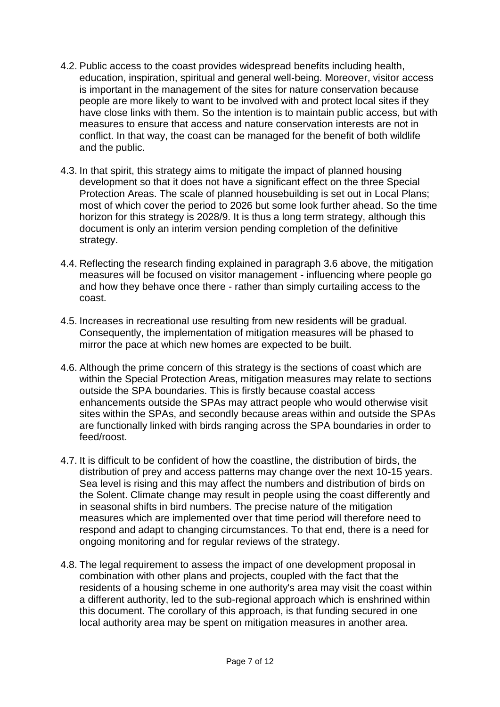- 4.2. Public access to the coast provides widespread benefits including health, education, inspiration, spiritual and general well-being. Moreover, visitor access is important in the management of the sites for nature conservation because people are more likely to want to be involved with and protect local sites if they have close links with them. So the intention is to maintain public access, but with measures to ensure that access and nature conservation interests are not in conflict. In that way, the coast can be managed for the benefit of both wildlife and the public.
- 4.3. In that spirit, this strategy aims to mitigate the impact of planned housing development so that it does not have a significant effect on the three Special Protection Areas. The scale of planned housebuilding is set out in Local Plans; most of which cover the period to 2026 but some look further ahead. So the time horizon for this strategy is 2028/9. It is thus a long term strategy, although this document is only an interim version pending completion of the definitive strategy.
- 4.4. Reflecting the research finding explained in paragraph 3.6 above, the mitigation measures will be focused on visitor management - influencing where people go and how they behave once there - rather than simply curtailing access to the coast.
- 4.5. Increases in recreational use resulting from new residents will be gradual. Consequently, the implementation of mitigation measures will be phased to mirror the pace at which new homes are expected to be built.
- 4.6. Although the prime concern of this strategy is the sections of coast which are within the Special Protection Areas, mitigation measures may relate to sections outside the SPA boundaries. This is firstly because coastal access enhancements outside the SPAs may attract people who would otherwise visit sites within the SPAs, and secondly because areas within and outside the SPAs are functionally linked with birds ranging across the SPA boundaries in order to feed/roost.
- 4.7. It is difficult to be confident of how the coastline, the distribution of birds, the distribution of prey and access patterns may change over the next 10-15 years. Sea level is rising and this may affect the numbers and distribution of birds on the Solent. Climate change may result in people using the coast differently and in seasonal shifts in bird numbers. The precise nature of the mitigation measures which are implemented over that time period will therefore need to respond and adapt to changing circumstances. To that end, there is a need for ongoing monitoring and for regular reviews of the strategy.
- 4.8. The legal requirement to assess the impact of one development proposal in combination with other plans and projects, coupled with the fact that the residents of a housing scheme in one authority's area may visit the coast within a different authority, led to the sub-regional approach which is enshrined within this document. The corollary of this approach, is that funding secured in one local authority area may be spent on mitigation measures in another area.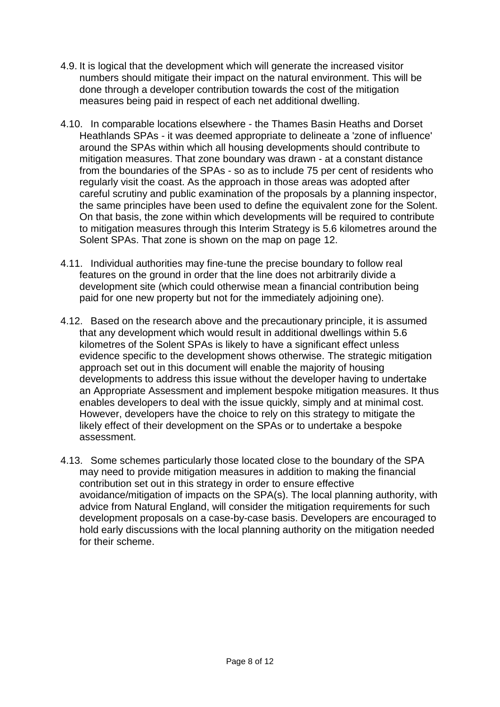- 4.9. It is logical that the development which will generate the increased visitor numbers should mitigate their impact on the natural environment. This will be done through a developer contribution towards the cost of the mitigation measures being paid in respect of each net additional dwelling.
- 4.10. In comparable locations elsewhere the Thames Basin Heaths and Dorset Heathlands SPAs - it was deemed appropriate to delineate a 'zone of influence' around the SPAs within which all housing developments should contribute to mitigation measures. That zone boundary was drawn - at a constant distance from the boundaries of the SPAs - so as to include 75 per cent of residents who regularly visit the coast. As the approach in those areas was adopted after careful scrutiny and public examination of the proposals by a planning inspector, the same principles have been used to define the equivalent zone for the Solent. On that basis, the zone within which developments will be required to contribute to mitigation measures through this Interim Strategy is 5.6 kilometres around the Solent SPAs. That zone is shown on the map on page 12.
- 4.11. Individual authorities may fine-tune the precise boundary to follow real features on the ground in order that the line does not arbitrarily divide a development site (which could otherwise mean a financial contribution being paid for one new property but not for the immediately adjoining one).
- 4.12. Based on the research above and the precautionary principle, it is assumed that any development which would result in additional dwellings within 5.6 kilometres of the Solent SPAs is likely to have a significant effect unless evidence specific to the development shows otherwise. The strategic mitigation approach set out in this document will enable the majority of housing developments to address this issue without the developer having to undertake an Appropriate Assessment and implement bespoke mitigation measures. It thus enables developers to deal with the issue quickly, simply and at minimal cost. However, developers have the choice to rely on this strategy to mitigate the likely effect of their development on the SPAs or to undertake a bespoke assessment.
- 4.13. Some schemes particularly those located close to the boundary of the SPA may need to provide mitigation measures in addition to making the financial contribution set out in this strategy in order to ensure effective avoidance/mitigation of impacts on the SPA(s). The local planning authority, with advice from Natural England, will consider the mitigation requirements for such development proposals on a case-by-case basis. Developers are encouraged to hold early discussions with the local planning authority on the mitigation needed for their scheme.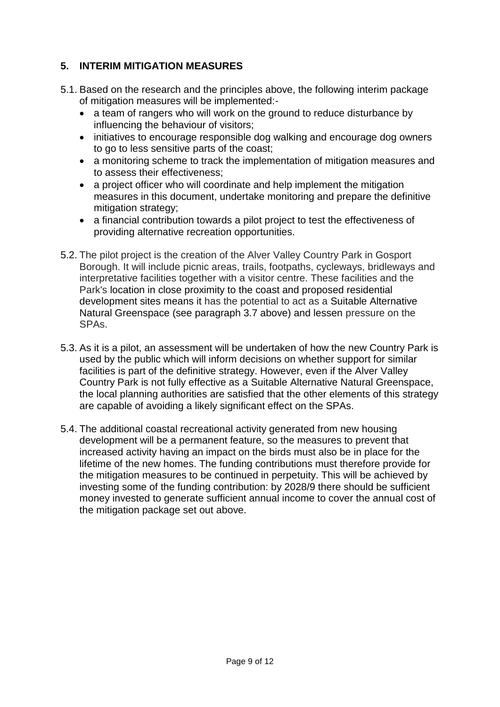## **5. INTERIM MITIGATION MEASURES**

- 5.1. Based on the research and the principles above, the following interim package of mitigation measures will be implemented:-
	- a team of rangers who will work on the ground to reduce disturbance by influencing the behaviour of visitors;
	- initiatives to encourage responsible dog walking and encourage dog owners to go to less sensitive parts of the coast;
	- a monitoring scheme to track the implementation of mitigation measures and to assess their effectiveness;
	- a project officer who will coordinate and help implement the mitigation measures in this document, undertake monitoring and prepare the definitive mitigation strategy;
	- a financial contribution towards a pilot project to test the effectiveness of providing alternative recreation opportunities.
- 5.2. The pilot project is the creation of the Alver Valley Country Park in Gosport Borough. It will include picnic areas, trails, footpaths, cycleways, bridleways and interpretative facilities together with a visitor centre. These facilities and the Park's location in close proximity to the coast and proposed residential development sites means it has the potential to act as a Suitable Alternative Natural Greenspace (see paragraph 3.7 above) and lessen pressure on the SPAs.
- 5.3. As it is a pilot, an assessment will be undertaken of how the new Country Park is used by the public which will inform decisions on whether support for similar facilities is part of the definitive strategy. However, even if the Alver Valley Country Park is not fully effective as a Suitable Alternative Natural Greenspace, the local planning authorities are satisfied that the other elements of this strategy are capable of avoiding a likely significant effect on the SPAs.
- 5.4. The additional coastal recreational activity generated from new housing development will be a permanent feature, so the measures to prevent that increased activity having an impact on the birds must also be in place for the lifetime of the new homes. The funding contributions must therefore provide for the mitigation measures to be continued in perpetuity. This will be achieved by investing some of the funding contribution: by 2028/9 there should be sufficient money invested to generate sufficient annual income to cover the annual cost of the mitigation package set out above.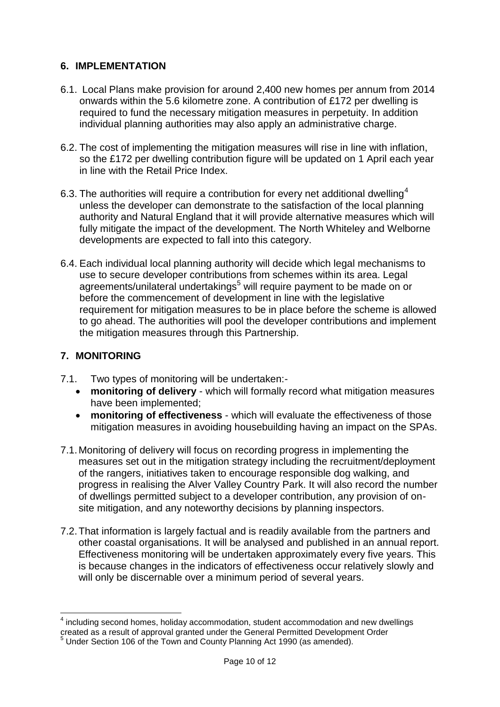#### **6. IMPLEMENTATION**

- 6.1. Local Plans make provision for around 2,400 new homes per annum from 2014 onwards within the 5.6 kilometre zone. A contribution of £172 per dwelling is required to fund the necessary mitigation measures in perpetuity. In addition individual planning authorities may also apply an administrative charge.
- 6.2. The cost of implementing the mitigation measures will rise in line with inflation, so the £172 per dwelling contribution figure will be updated on 1 April each year in line with the Retail Price Index.
- 6.3. The authorities will require a contribution for every net additional dwelling<sup>4</sup> unless the developer can demonstrate to the satisfaction of the local planning authority and Natural England that it will provide alternative measures which will fully mitigate the impact of the development. The North Whiteley and Welborne developments are expected to fall into this category.
- 6.4. Each individual local planning authority will decide which legal mechanisms to use to secure developer contributions from schemes within its area. Legal agreements/unilateral undertakings<sup>5</sup> will require payment to be made on or before the commencement of development in line with the legislative requirement for mitigation measures to be in place before the scheme is allowed to go ahead. The authorities will pool the developer contributions and implement the mitigation measures through this Partnership.

#### **7. MONITORING**

- 7.1. Two types of monitoring will be undertaken:
	- **monitoring of delivery** which will formally record what mitigation measures have been implemented;
	- **monitoring of effectiveness** which will evaluate the effectiveness of those mitigation measures in avoiding housebuilding having an impact on the SPAs.
- 7.1.Monitoring of delivery will focus on recording progress in implementing the measures set out in the mitigation strategy including the recruitment/deployment of the rangers, initiatives taken to encourage responsible dog walking, and progress in realising the Alver Valley Country Park. It will also record the number of dwellings permitted subject to a developer contribution, any provision of onsite mitigation, and any noteworthy decisions by planning inspectors.
- 7.2.That information is largely factual and is readily available from the partners and other coastal organisations. It will be analysed and published in an annual report. Effectiveness monitoring will be undertaken approximately every five years. This is because changes in the indicators of effectiveness occur relatively slowly and will only be discernable over a minimum period of several years.

 $\overline{a}$  $4$  including second homes, holiday accommodation, student accommodation and new dwellings created as a result of approval granted under the General Permitted Development Order  $\frac{1}{5}$  Under Section 106 of the Town and County Planning Act 1990 (as amended).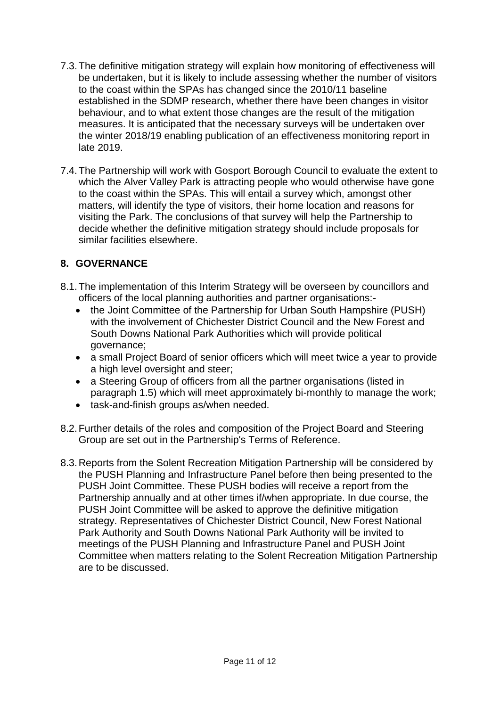- 7.3.The definitive mitigation strategy will explain how monitoring of effectiveness will be undertaken, but it is likely to include assessing whether the number of visitors to the coast within the SPAs has changed since the 2010/11 baseline established in the SDMP research, whether there have been changes in visitor behaviour, and to what extent those changes are the result of the mitigation measures. It is anticipated that the necessary surveys will be undertaken over the winter 2018/19 enabling publication of an effectiveness monitoring report in late 2019.
- 7.4.The Partnership will work with Gosport Borough Council to evaluate the extent to which the Alver Valley Park is attracting people who would otherwise have gone to the coast within the SPAs. This will entail a survey which, amongst other matters, will identify the type of visitors, their home location and reasons for visiting the Park. The conclusions of that survey will help the Partnership to decide whether the definitive mitigation strategy should include proposals for similar facilities elsewhere.

#### **8. GOVERNANCE**

- 8.1.The implementation of this Interim Strategy will be overseen by councillors and officers of the local planning authorities and partner organisations:-
	- the Joint Committee of the Partnership for Urban South Hampshire (PUSH) with the involvement of Chichester District Council and the New Forest and South Downs National Park Authorities which will provide political governance;
	- a small Project Board of senior officers which will meet twice a year to provide a high level oversight and steer;
	- a Steering Group of officers from all the partner organisations (listed in paragraph 1.5) which will meet approximately bi-monthly to manage the work;
	- task-and-finish groups as/when needed.
- 8.2.Further details of the roles and composition of the Project Board and Steering Group are set out in the Partnership's Terms of Reference.
- 8.3.Reports from the Solent Recreation Mitigation Partnership will be considered by the PUSH Planning and Infrastructure Panel before then being presented to the PUSH Joint Committee. These PUSH bodies will receive a report from the Partnership annually and at other times if/when appropriate. In due course, the PUSH Joint Committee will be asked to approve the definitive mitigation strategy. Representatives of Chichester District Council, New Forest National Park Authority and South Downs National Park Authority will be invited to meetings of the PUSH Planning and Infrastructure Panel and PUSH Joint Committee when matters relating to the Solent Recreation Mitigation Partnership are to be discussed.